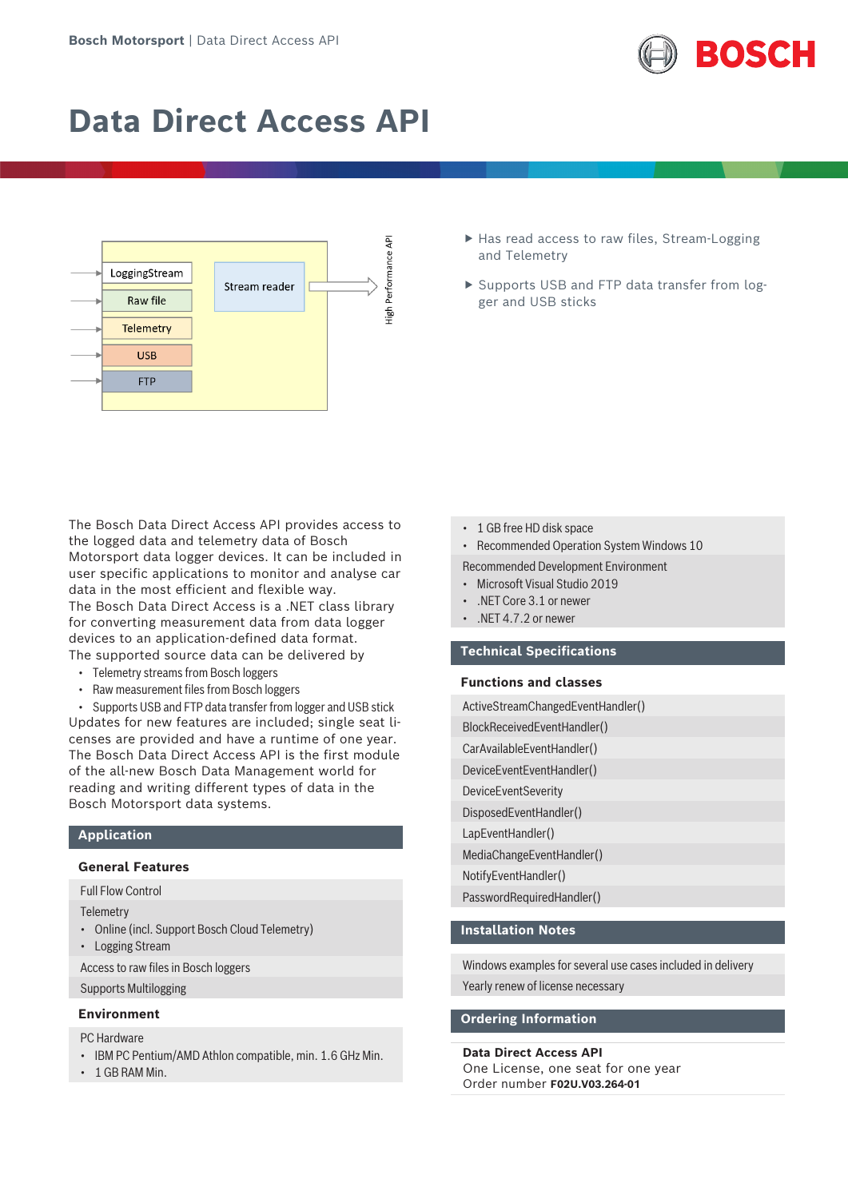

# **Data Direct Access API**



- ▶ Has read access to raw files, Stream-Logging and Telemetry
- ▶ Supports USB and FTP data transfer from logger and USB sticks

The Bosch Data Direct Access API provides access to the logged data and telemetry data of Bosch Motorsport data logger devices. It can be included in user specific applications to monitor and analyse car data in the most efficient and flexible way. The Bosch Data Direct Access is a .NET class library for converting measurement data from data logger devices to an application-defined data format. The supported source data can be delivered by

- Telemetry streams from Bosch loggers
- Raw measurement files from Bosch loggers

• Supports USB and FTP data transfer from logger and USB stick Updates for new features are included; single seat licenses are provided and have a runtime of one year. The Bosch Data Direct Access API is the first module of the all-new Bosch Data Management world for reading and writing different types of data in the Bosch Motorsport data systems.

# **Application**

# **General Features**

# Full Flow Control

**Telemetry** 

- Online (incl. Support Bosch Cloud Telemetry)
- Logging Stream

Access to raw files in Bosch loggers

Supports Multilogging

# **Environment**

PC Hardware

- IBM PC Pentium/AMD Athlon compatible, min. 1.6 GHz Min.
- 1 GB RAM Min.
- 1 GB free HD disk space
- Recommended Operation System Windows 10

### Recommended Development Environment

- Microsoft Visual Studio 2019
- .NET Core 3.1 or newer
- .NET 4.7.2 or newer

# **Technical Specifications**

#### **Functions and classes**

ActiveStreamChangedEventHandler() BlockReceivedEventHandler() CarAvailableEventHandler() DeviceEventEventHandler() **DeviceEventSeveritv** DisposedEventHandler() LapEventHandler() MediaChangeEventHandler() NotifyEventHandler() PasswordRequiredHandler()

# **Installation Notes**

Windows examples for several use cases included in delivery

Yearly renew of license necessary

# **Ordering Information**

#### **Data Direct Access API**

One License, one seat for one year Order number **F02U.V03.264-01**